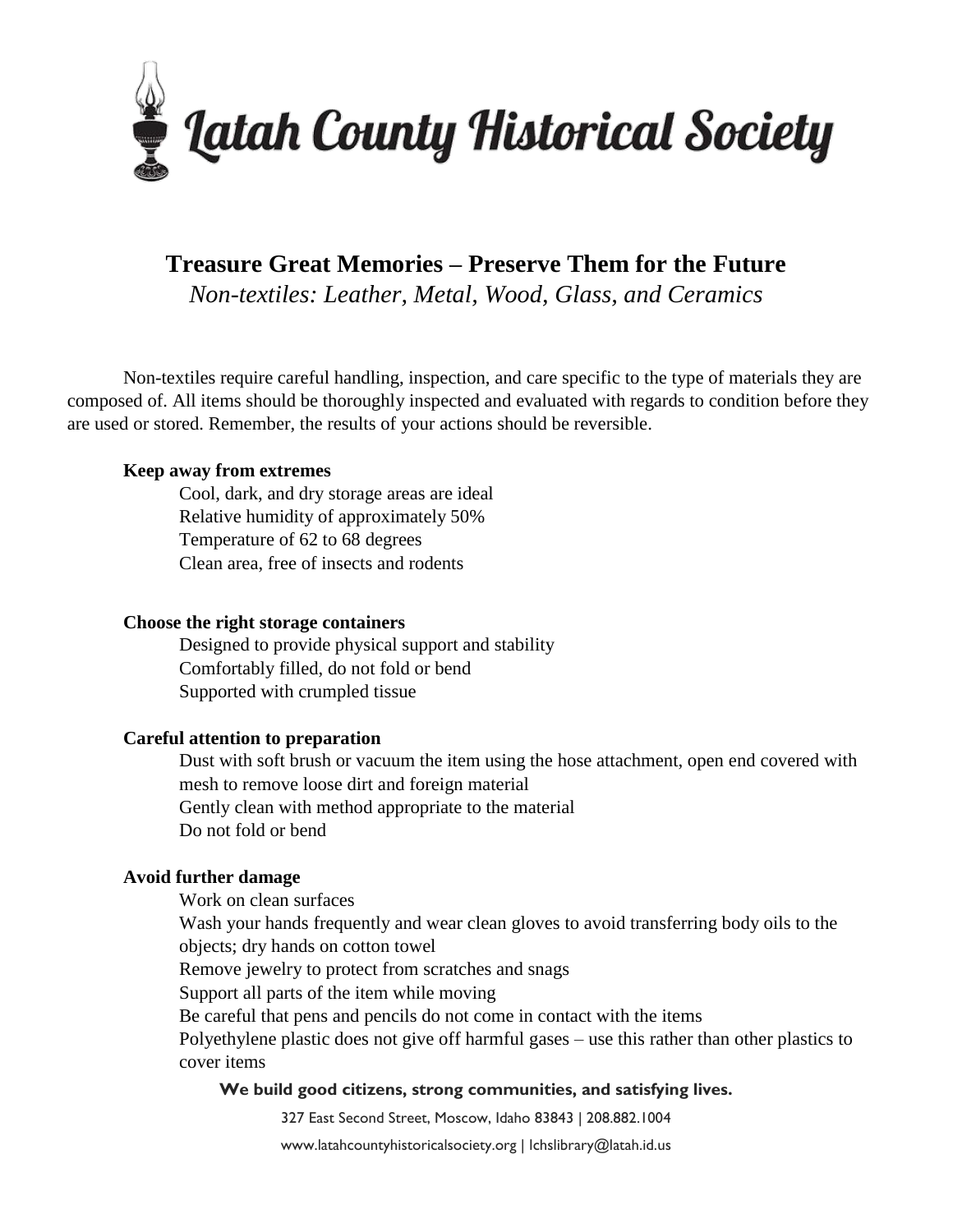

# **Treasure Great Memories – Preserve Them for the Future**

*Non-textiles: Leather, Metal, Wood, Glass, and Ceramics*

Non-textiles require careful handling, inspection, and care specific to the type of materials they are composed of. All items should be thoroughly inspected and evaluated with regards to condition before they are used or stored. Remember, the results of your actions should be reversible.

#### **Keep away from extremes**

Cool, dark, and dry storage areas are ideal Relative humidity of approximately 50% Temperature of 62 to 68 degrees Clean area, free of insects and rodents

#### **Choose the right storage containers**

Designed to provide physical support and stability Comfortably filled, do not fold or bend Supported with crumpled tissue

#### **Careful attention to preparation**

Dust with soft brush or vacuum the item using the hose attachment, open end covered with mesh to remove loose dirt and foreign material Gently clean with method appropriate to the material Do not fold or bend

#### **Avoid further damage**

Work on clean surfaces

Wash your hands frequently and wear clean gloves to avoid transferring body oils to the objects; dry hands on cotton towel

Remove jewelry to protect from scratches and snags

Support all parts of the item while moving

Be careful that pens and pencils do not come in contact with the items

Polyethylene plastic does not give off harmful gases – use this rather than other plastics to cover items

#### **We build good citizens, strong communities, and satisfying lives.**

327 East Second Street, Moscow, Idaho 83843 | 208.882.1004

www.latahcountyhistoricalsociety.org | lchslibrary@latah.id.us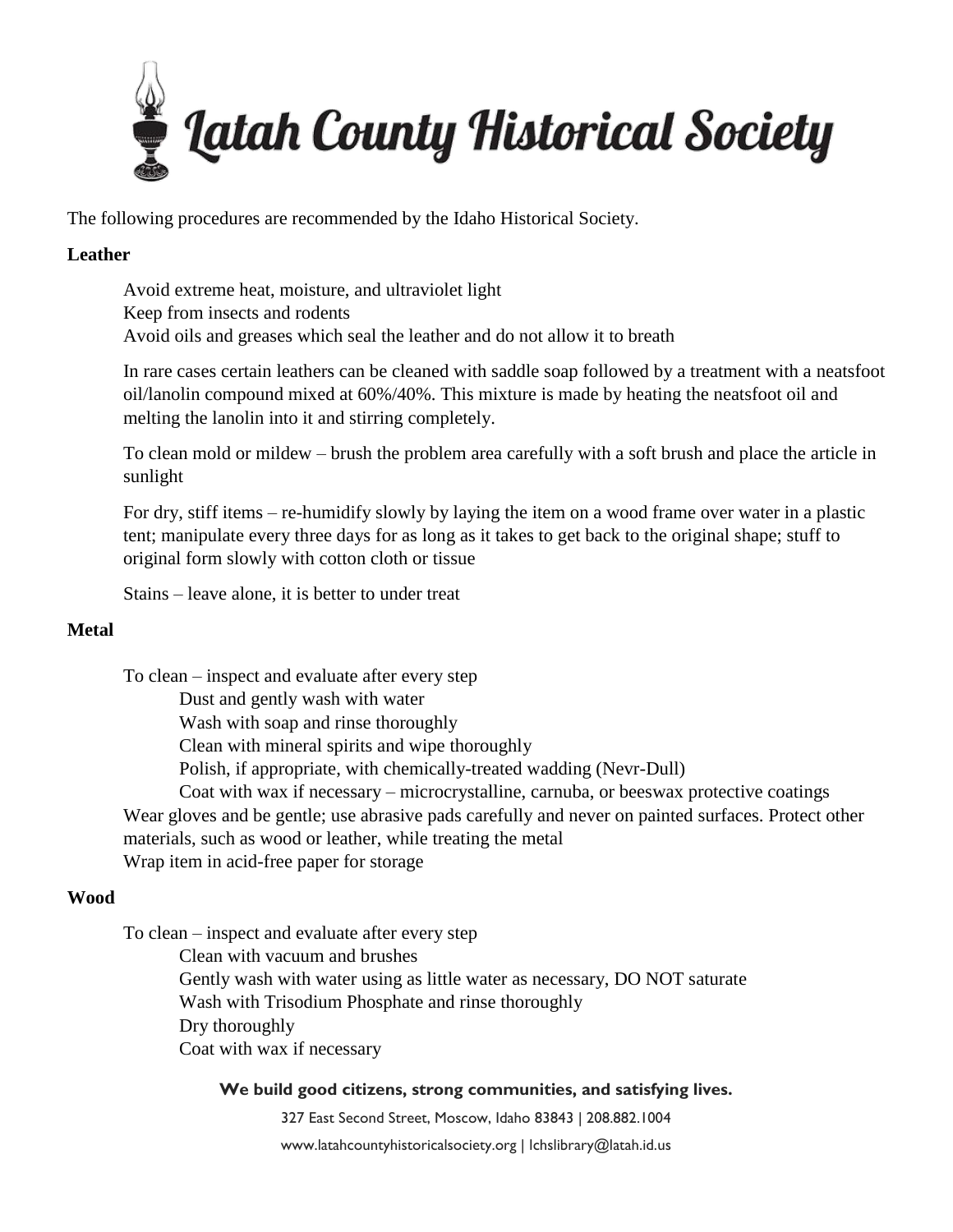

The following procedures are recommended by the Idaho Historical Society.

## **Leather**

Avoid extreme heat, moisture, and ultraviolet light Keep from insects and rodents Avoid oils and greases which seal the leather and do not allow it to breath

In rare cases certain leathers can be cleaned with saddle soap followed by a treatment with a neatsfoot oil/lanolin compound mixed at 60%/40%. This mixture is made by heating the neatsfoot oil and melting the lanolin into it and stirring completely.

To clean mold or mildew – brush the problem area carefully with a soft brush and place the article in sunlight

For dry, stiff items – re-humidify slowly by laying the item on a wood frame over water in a plastic tent; manipulate every three days for as long as it takes to get back to the original shape; stuff to original form slowly with cotton cloth or tissue

Stains – leave alone, it is better to under treat

# **Metal**

To clean – inspect and evaluate after every step Dust and gently wash with water Wash with soap and rinse thoroughly Clean with mineral spirits and wipe thoroughly Polish, if appropriate, with chemically-treated wadding (Nevr-Dull) Coat with wax if necessary – microcrystalline, carnuba, or beeswax protective coatings Wear gloves and be gentle; use abrasive pads carefully and never on painted surfaces. Protect other materials, such as wood or leather, while treating the metal Wrap item in acid-free paper for storage

# **Wood**

To clean – inspect and evaluate after every step

Clean with vacuum and brushes Gently wash with water using as little water as necessary, DO NOT saturate Wash with Trisodium Phosphate and rinse thoroughly Dry thoroughly Coat with wax if necessary

### **We build good citizens, strong communities, and satisfying lives.**

327 East Second Street, Moscow, Idaho 83843 | 208.882.1004

www.latahcountyhistoricalsociety.org | lchslibrary@latah.id.us